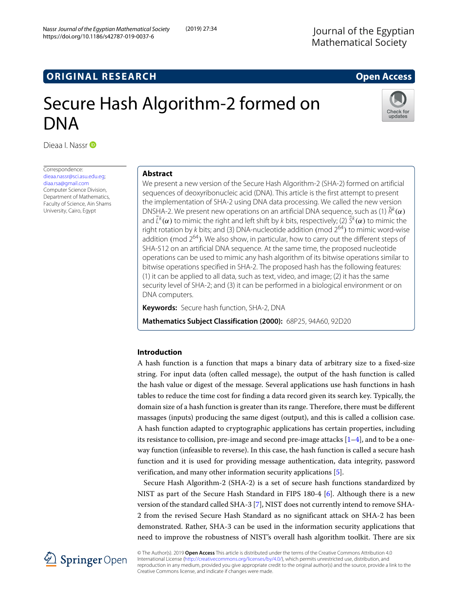# **ORIGINAL RESEARCH Open Access**

# Secure Hash Algorithm-2 formed on DNA

Dieaa I. Nassr **iD** 

Correspondence: [dieaa.nassr@sci.asu.edu.eg;](mailto: dieaa.nassr@sci.asu.edu.eg) [diaa.rsa@gmail.com](mailto: diaa.rsa@gmail.com) Computer Science Division, Department of Mathematics, Faculty of Science, Ain Shams University, Cairo, Egypt

# **Abstract**

We present a new version of the Secure Hash Algorithm-2 (SHA-2) formed on artificial sequences of deoxyribonucleic acid (DNA). This article is the first attempt to present the implementation of SHA-2 using DNA data processing. We called the new version DNSHA-2. We present new operations on an artificial DNA sequence, such as (1)  $R<sup>k</sup>(\alpha)$ and  $\bar L^k(\pmb{\alpha})$  to mimic the right and left shift by  $k$  bits, respectively; (2)  $\bar S^k(\pmb{\alpha})$  to mimic the right rotation by k bits; and (3) DNA-nucleotide addition (mod  $2^{64}$ ) to mimic word-wise addition (mod  $2^{64}$ ). We also show, in particular, how to carry out the different steps of SHA-512 on an artificial DNA sequence. At the same time, the proposed nucleotide operations can be used to mimic any hash algorithm of its bitwise operations similar to bitwise operations specified in SHA-2. The proposed hash has the following features: (1) it can be applied to all data, such as text, video, and image; (2) it has the same security level of SHA-2; and (3) it can be performed in a biological environment or on DNA computers.

**Keywords:** Secure hash function, SHA-2, DNA

**Mathematics Subject Classification (2000):** 68P25, 94A60, 92D20

# **Introduction**

A hash function is a function that maps a binary data of arbitrary size to a fixed-size string. For input data (often called message), the output of the hash function is called the hash value or digest of the message. Several applications use hash functions in hash tables to reduce the time cost for finding a data record given its search key. Typically, the domain size of a hash function is greater than its range. Therefore, there must be different massages (inputs) producing the same digest (output), and this is called a collision case. A hash function adapted to cryptographic applications has certain properties, including its resistance to collision, pre-image and second pre-image attacks  $[1-4]$  $[1-4]$ , and to be a oneway function (infeasible to reverse). In this case, the hash function is called a secure hash function and it is used for providing message authentication, data integrity, password verification, and many other information security applications [\[5\]](#page-18-2).

Secure Hash Algorithm-2 (SHA-2) is a set of secure hash functions standardized by NIST as part of the Secure Hash Standard in FIPS 180-4 [\[6\]](#page-18-3). Although there is a new version of the standard called SHA-3 [\[7\]](#page-18-4), NIST does not currently intend to remove SHA-2 from the revised Secure Hash Standard as no significant attack on SHA-2 has been demonstrated. Rather, SHA-3 can be used in the information security applications that need to improve the robustness of NIST's overall hash algorithm toolkit. There are six



© The Author(s). 2019 **Open Access** This article is distributed under the terms of the Creative Commons Attribution 4.0 International License [\(http://creativecommons.org/licenses/by/4.0/\)](http://creativecommons.org/licenses/by/4.0/), which permits unrestricted use, distribution, and reproduction in any medium, provided you give appropriate credit to the original author(s) and the source, provide a link to the Creative Commons license, and indicate if changes were made.

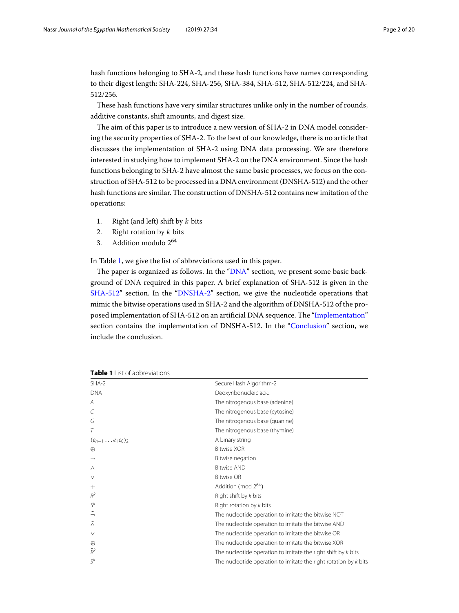hash functions belonging to SHA-2, and these hash functions have names corresponding to their digest length: SHA-224, SHA-256, SHA-384, SHA-512, SHA-512/224, and SHA-512/256.

These hash functions have very similar structures unlike only in the number of rounds, additive constants, shift amounts, and digest size.

The aim of this paper is to introduce a new version of SHA-2 in DNA model considering the security properties of SHA-2. To the best of our knowledge, there is no article that discusses the implementation of SHA-2 using DNA data processing. We are therefore interested in studying how to implement SHA-2 on the DNA environment. Since the hash functions belonging to SHA-2 have almost the same basic processes, we focus on the construction of SHA-512 to be processed in a DNA environment (DNSHA-512) and the other hash functions are similar. The construction of DNSHA-512 contains new imitation of the operations:

- 1. Right (and left) shift by  $k$  bits
- 2. Right rotation by k bits
- 3. Addition modulo 2<sup>64</sup>

In Table [1,](#page-1-0) we give the list of abbreviations used in this paper.

The paper is organized as follows. In the ["DNA"](#page-2-0) section, we present some basic background of DNA required in this paper. A brief explanation of SHA-512 is given in the [SHA-512"](#page-2-1) section. In the ["DNSHA-2"](#page-5-0) section, we give the nucleotide operations that mimic the bitwise operations used in SHA-2 and the algorithm of DNSHA-512 of the proposed implementation of SHA-512 on an artificial DNA sequence. The ["Implementation"](#page-14-0) section contains the implementation of DNSHA-512. In the ["Conclusion"](#page-17-0) section, we include the conclusion.

| $SHA-2$                    | Secure Hash Algorithm-2                                            |
|----------------------------|--------------------------------------------------------------------|
| <b>DNA</b>                 | Deoxyribonucleic acid                                              |
| A                          | The nitrogenous base (adenine)                                     |
|                            | The nitrogenous base (cytosine)                                    |
| G                          | The nitrogenous base (guanine)                                     |
|                            | The nitrogenous base (thymine)                                     |
| $(e_{n-1} \ldots e_1 e_0)$ | A binary string                                                    |
| $\oplus$                   | <b>Bitwise XOR</b>                                                 |
| ┑                          | Bitwise negation                                                   |
| $\wedge$                   | <b>Bitwise AND</b>                                                 |
| $\vee$                     | <b>Bitwise OR</b>                                                  |
| $^{+}$                     | Addition (mod $2^{64}$ )                                           |
| $R^k$                      | Right shift by k bits                                              |
| $S^k$                      | Right rotation by k bits                                           |
| $\overline{\phantom{0}}$   | The nucleotide operation to imitate the bitwise NOT                |
| $\bar{\wedge}$             | The nucleotide operation to imitate the bitwise AND                |
| v                          | The nucleotide operation to imitate the bitwise OR                 |
| $\bar{\oplus}$             | The nucleotide operation to imitate the bitwise XOR                |
| $\bar{R}^k$                | The nucleotide operation to imitate the right shift by $k$ bits    |
| $\overline{\varsigma}$ k   | The nucleotide operation to imitate the right rotation by $k$ bits |

<span id="page-1-0"></span>**Table 1** List of abbreviations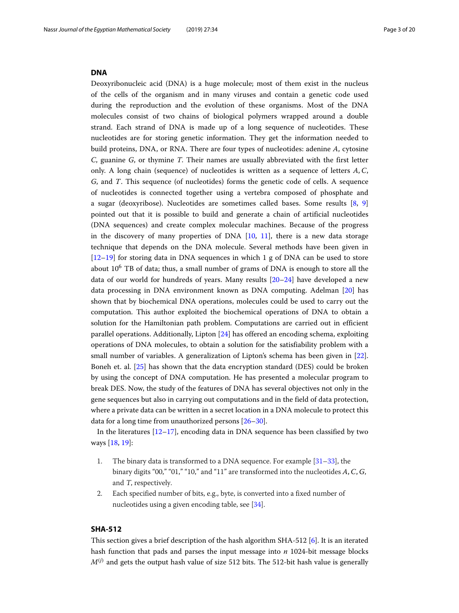#### <span id="page-2-0"></span>**DNA**

Deoxyribonucleic acid (DNA) is a huge molecule; most of them exist in the nucleus of the cells of the organism and in many viruses and contain a genetic code used during the reproduction and the evolution of these organisms. Most of the DNA molecules consist of two chains of biological polymers wrapped around a double strand. Each strand of DNA is made up of a long sequence of nucleotides. These nucleotides are for storing genetic information. They get the information needed to build proteins, DNA, or RNA. There are four types of nucleotides: adenine *A*, cytosine *C*, guanine *G*, or thymine *T*. Their names are usually abbreviated with the first letter only. A long chain (sequence) of nucleotides is written as a sequence of letters *A*,*C*, *G*, and *T*. This sequence (of nucleotides) forms the genetic code of cells. A sequence of nucleotides is connected together using a vertebra composed of phosphate and a sugar (deoxyribose). Nucleotides are sometimes called bases. Some results [\[8,](#page-18-5) [9\]](#page-18-6) pointed out that it is possible to build and generate a chain of artificial nucleotides (DNA sequences) and create complex molecular machines. Because of the progress in the discovery of many properties of DNA  $[10, 11]$  $[10, 11]$  $[10, 11]$ , there is a new data storage technique that depends on the DNA molecule. Several methods have been given in [\[12–](#page-18-9)[19\]](#page-19-0) for storing data in DNA sequences in which 1 g of DNA can be used to store about  $10^6$  TB of data; thus, a small number of grams of DNA is enough to store all the data of our world for hundreds of years. Many results [\[20–](#page-19-1)[24\]](#page-19-2) have developed a new data processing in DNA environment known as DNA computing. Adelman [\[20\]](#page-19-1) has shown that by biochemical DNA operations, molecules could be used to carry out the computation. This author exploited the biochemical operations of DNA to obtain a solution for the Hamiltonian path problem. Computations are carried out in efficient parallel operations. Additionally, Lipton [\[24\]](#page-19-2) has offered an encoding schema, exploiting operations of DNA molecules, to obtain a solution for the satisfiability problem with a small number of variables. A generalization of Lipton's schema has been given in [\[22\]](#page-19-3). Boneh et. al. [\[25\]](#page-19-4) has shown that the data encryption standard (DES) could be broken by using the concept of DNA computation. He has presented a molecular program to break DES. Now, the study of the features of DNA has several objectives not only in the gene sequences but also in carrying out computations and in the field of data protection, where a private data can be written in a secret location in a DNA molecule to protect this data for a long time from unauthorized persons [\[26–](#page-19-5)[30\]](#page-19-6).

In the literatures  $[12-17]$  $[12-17]$ , encoding data in DNA sequence has been classified by two ways [\[18,](#page-18-11) [19\]](#page-19-0):

- 1. The binary data is transformed to a DNA sequence. For example [\[31–](#page-19-7)[33\]](#page-19-8), the binary digits "00," "01," "10," and "11" are transformed into the nucleotides *A*,*C*, *G*, and <sup>T</sup>, respectively.
- 2. Each specified number of bits, e.g., byte, is converted into a fixed number of nucleotides using a given encoding table, see [\[34\]](#page-19-9).

# <span id="page-2-1"></span>**SHA-512**

This section gives a brief description of the hash algorithm SHA-512 [\[6\]](#page-18-3). It is an iterated hash function that pads and parses the input message into *n* 1024-bit message blocks  $M^{(j)}$  and gets the output hash value of size 512 bits. The 512-bit hash value is generally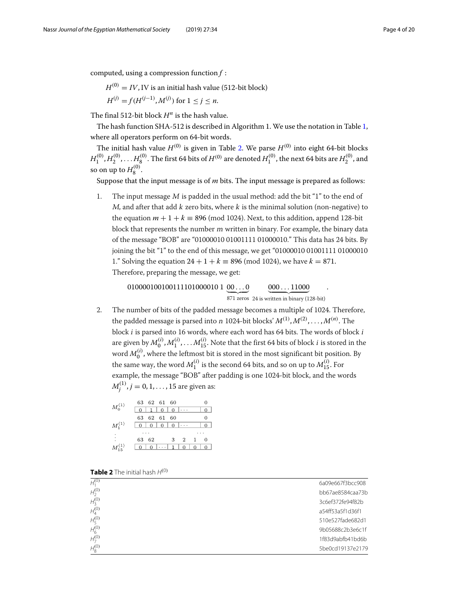computed, using a compression function *f* :

 $H^{(0)} = IV$ , IV is an initial hash value (512-bit block)

$$
H^{(j)} = f(H^{(j-1)}, M^{(j)}) \text{ for } 1 \le j \le n.
$$

The final 512-bit block *H<sup>n</sup>* is the hash value.

The hash function SHA-512 is described in Algorithm 1. We use the notation in Table [1,](#page-1-0) where all operators perform on 64-bit words.

The initial hash value  $H^{(0)}$  is given in Table [2.](#page-3-0) We parse  $H^{(0)}$  into eight 64-bit blocks  $H_1^{(0)},H_2^{(0)},\ldots H_8^{(0)}.$  The first 64 bits of  $H^{(0)}$  are denoted  $H_1^{(0)},$  the next 64 bits are  $H_2^{(0)},$  and so on up to  $H_8^{(0)}$ .

Suppose that the input message is of *m* bits. The input message is prepared as follows:

1. The input message  $M$  is padded in the usual method: add the bit "1" to the end of <sup>M</sup>, and after that add k zero bits, where k is the minimal solution (non-negative) to the equation  $m + 1 + k \equiv 896 \pmod{1024}$ . Next, to this addition, append 128-bit block that represents the number <sup>m</sup> written in binary. For example, the binary data of the message "BOB" are "01000010 01001111 01000010." This data has 24 bits. By joining the bit "1" to the end of this message, we get "01000010 01001111 01000010 1." Solving the equation  $24 + 1 + k \equiv 896 \pmod{1024}$ , we have  $k = 871$ . Therefore, preparing the message, we get:

> $010000100100111101000010$   $1$   $\underline{00\ldots0}$ 871 zeros 24 is written in binary (128-bit)  $\underline{000...11000}$ .

2. The number of bits of the padded message becomes a multiple of 1024. Therefore, the padded message is parsed into *n* 1024-bit blocks'  $M^{(1)}, M^{(2)}, \ldots, M^{(n)}.$  The block <sup>i</sup> is parsed into 16 words, where each word has 64 bits. The words of block <sup>i</sup> are given by  $M_0^{(i)}, M_1^{(i)}, \ldots M_{15}^{(i)}.$  Note that the first 64 bits of block  $i$  is stored in the word  $M_0^{(i)}$  , where the leftmost bit is stored in the most significant bit position. By the same way, the word  $M_1^{(i)}$  is the second 64 bits, and so on up to  $M_{15}^{(i)}$ . For example, the message "BOB" after padding is one 1024-bit block, and the words  $M_j^{(1)}, j=0,1,\ldots,15$  are given as:

|                | 63 62 61 60       |                    |          |
|----------------|-------------------|--------------------|----------|
| $M_0^{(1)}$    | 11010<br>$\theta$ |                    |          |
|                | 63 62 61 60       |                    | $^{(1)}$ |
| $M_1^{(1)}$    | 0 0 0 0 0 0       |                    |          |
|                |                   |                    |          |
| $\ddot{\cdot}$ | 63 62             | 3 2 1              | $^{(1)}$ |
| $M_{15}^{(1)}$ | - 0               | $\cdots$ 1 0 0 0 0 |          |

<span id="page-3-0"></span>

|  | <b>Table 2</b> The initial hash $H^{(0)}$ |  |  |  |  |  |
|--|-------------------------------------------|--|--|--|--|--|
|--|-------------------------------------------|--|--|--|--|--|

| $H_1^{(0)}$ | 6a09e667f3bcc908 |
|-------------|------------------|
| $H_2^{(0)}$ | bb67ae8584caa73b |
| $H_3^{(0)}$ | 3c6ef372fe94f82b |
| $H_4^{(0)}$ | a54ff53a5f1d36f1 |
| $H_5^{(0)}$ | 510e527fade682d1 |
| $H_6^{(0)}$ | 9b05688c2b3e6c1f |
| $H_7^{(0)}$ | 1f83d9abfb41bd6b |
| $H_8^{(0)}$ | 5be0cd19137e2179 |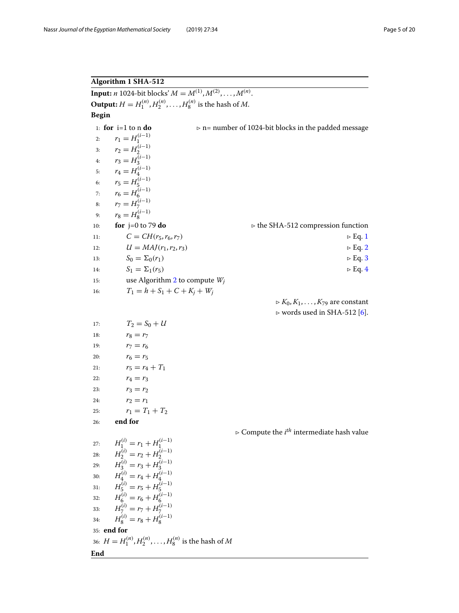# **Algorithm 1 SHA-512**

**Input:** *n* 1024-bit blocks'  $M = M^{(1)}, M^{(2)}, \ldots, M^{(n)}$ . **Output:**  $H = H_1^{(n)}, H_2^{(n)}, \ldots, H_8^{(n)}$  is the hash of *M*. **Begin** 1: **for** i=1 to n **do**  $\triangleright$  n= number of 1024-bit blocks in the padded message 2:  $r_1 = H_1^{(i-1)}$ 3:  $r_2 = H_2^{(i-1)}$ 4:  $r_3 = H_3^{(i-1)}$ 5:  $r_4 = H_4^{(i-1)}$ 6:  $r_5 = H_5^{(i-1)}$ 7:  $r_6 = H_6^{(i-1)}$ 8:  $r_7 = H_7^{(i-1)}$ 9:  $r_8 = H_8^{(i-1)}$ 10: **for**  $j=0$  to 79 **do**  $\triangleright$  the SHA-512 compression function 11:  $C = CH(r_5, r_6, r_7)$   $\triangleright Eq. 1$ <br>12:  $U = MAJ(r_1, r_2, r_3)$   $\triangleright Eq. 2$ 12:  $U = MAJ(r_1, r_2, r_3)$ 13:  $S_0 = \Sigma_0(r_1)$   $\trianglerighteq E_q.3$ 14:  $S_1 = \sum_1 (r_5)$   $\trianglerighteq Eq. 4$ 15: use Algorithm 2 to compute *Wj* 16:  $T_1 = h + S_1 + C + K_j + W_j$  $K_0, K_1, \ldots, K_{79}$  are constant  $\triangleright$  words used in SHA-512 [6]. 17:  $T_2 = S_0 + U$ 18:  $r_8 = r_7$ 19:  $r_7 = r_6$ 20:  $r_6 = r_5$ 21:  $r_5 = r_4 + T_1$ 22:  $r_4 = r_3$ 23:  $r_3 = r_2$ 24:  $r_2 = r_1$ 25:  $r_1 = T_1 + T_2$ 26: **end for**  $\triangleright$  Compute the  $i^{th}$  intermediate hash value 27:  $H_1^{(i)} = r_1 + H_1^{(i-1)}$ 28:  $H_2^{(i)} = r_2 + H_2^{(i-1)}$ 29:  $H_3^{(i)} = r_3 + H_3^{(i-1)}$ <br>
30:  $H_4^{(i)} = r_4 + H_4^{(i-1)}$ 31:  $H_5^{(i)} = r_5 + H_5^{(i-1)}$ <br>
32:  $H_{6}^{(i)} = r_6 + H_{6}^{(i-1)}$ 33:  $H_7^{(i)} = r_7 + H_7^{(i-1)}$ 34:  $H_8^{(i)} = r_8 + H_8^{(i-1)}$ 35: **end for** 36:  $H = H_1^{(n)}, H_2^{(n)}, \ldots, H_8^{(n)}$  is the hash of  $M$ **End**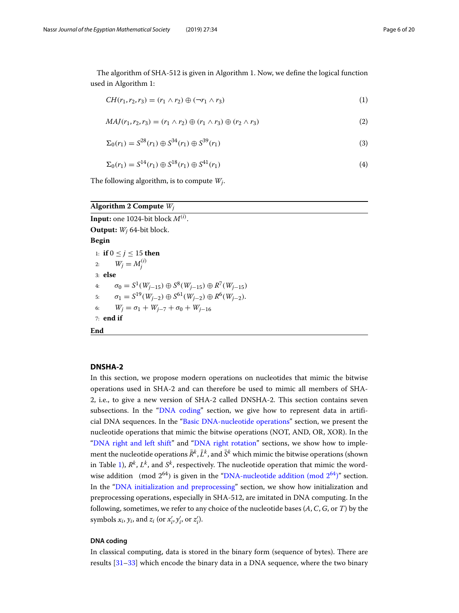The algorithm of SHA-512 is given in Algorithm 1. Now, we define the logical function used in Algorithm 1:

$$
CH(r_1, r_2, r_3) = (r_1 \wedge r_2) \oplus (\neg r_1 \wedge r_3)
$$
\n(1)

$$
MAJ(r_1, r_2, r_3) = (r_1 \wedge r_2) \oplus (r_1 \wedge r_3) \oplus (r_2 \wedge r_3)
$$
\n(2)

$$
\Sigma_0(r_1) = S^{28}(r_1) \oplus S^{34}(r_1) \oplus S^{39}(r_1)
$$
\n(3)

$$
\Sigma_0(r_1) = S^{14}(r_1) \oplus S^{18}(r_1) \oplus S^{41}(r_1)
$$
\n(4)

The following algorithm, is to compute *Wj*.

# **Algorithm 2 Compute** *Wj*

 $\mathbf{Input:}$  one 1024-bit block  $M^{(i)}.$ **Output:** *Wj* 64-bit block. **Begin** 1: **if** 0 ≤ *j* ≤ 15 **then** 2:  $W_j = M_j^{(i)}$ 3: **else** 4:  $\sigma_0 = S^1(W_{i-15}) \oplus S^8(W_{i-15}) \oplus R^7(W_{i-15})$ 5:  $\sigma_1 = S^{19}(W_{i-2}) \oplus S^{61}(W_{i-2}) \oplus R^{6}(W_{i-2}).$ 6:  $W_i = \sigma_1 + W_{i-7} + \sigma_0 + W_{i-16}$ 7: **end if End**

# <span id="page-5-0"></span>**DNSHA-2**

In this section, we propose modern operations on nucleotides that mimic the bitwise operations used in SHA-2 and can therefore be used to mimic all members of SHA-2, i.e., to give a new version of SHA-2 called DNSHA-2. This section contains seven subsections. In the ["DNA coding"](#page-5-1) section, we give how to represent data in artificial DNA sequences. In the ["Basic DNA-nucleotide operations"](#page-7-0) section, we present the nucleotide operations that mimic the bitwise operations (NOT, AND, OR, XOR). In the ["DNA right and left shift"](#page-7-1) and ["DNA right rotation"](#page-10-0) sections, we show how to implement the nucleotide operations  $\bar{R}^k$ ,  $\bar{L}^k$ , and  $\bar{S}^k$  which mimic the bitwise operations (shown in Table [1\)](#page-1-0),  $R^k$ ,  $L^k$ , and  $S^k$ , respectively. The nucleotide operation that mimic the wordwise addition (mod  $2^{64}$ ) is given in the "DNA-nucleotide addition (mod  $2^{64}$ )" section. In the ["DNA initialization and preprocessing"](#page-13-0) section, we show how initialization and preprocessing operations, especially in SHA-512, are imitated in DNA computing. In the following, sometimes, we refer to any choice of the nucleotide bases (*A*,*C*, *G*, or *T*) by the symbols  $x_i$ ,  $y_i$ , and  $z_i$  (or  $x'_i$ ,  $y'_i$ , or  $z'_i$ ).

# <span id="page-5-1"></span>**DNA coding**

In classical computing, data is stored in the binary form (sequence of bytes). There are results [\[31–](#page-19-7)[33\]](#page-19-8) which encode the binary data in a DNA sequence, where the two binary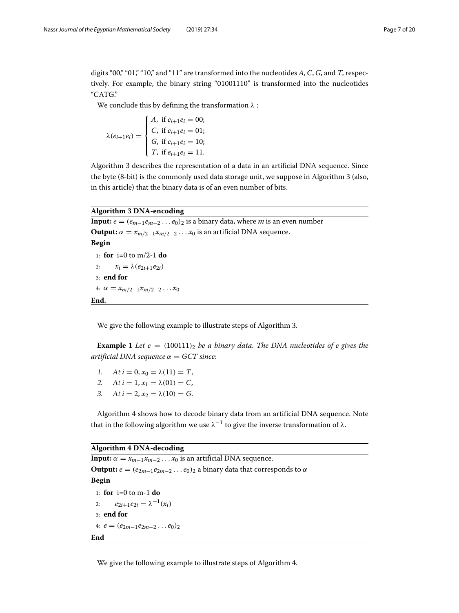digits "00," "01," "10," and "11" are transformed into the nucleotides *A*,*C*, *G*, and *T*, respectively. For example, the binary string "01001110" is transformed into the nucleotides "CATG."

We conclude this by defining the transformation  $\lambda$ :

$$
\lambda(e_{i+1}e_i) = \begin{cases} A, & \text{if } e_{i+1}e_i = 00; \\ C, & \text{if } e_{i+1}e_i = 01; \\ G, & \text{if } e_{i+1}e_i = 10; \\ T, & \text{if } e_{i+1}e_i = 11. \end{cases}
$$

Algorithm 3 describes the representation of a data in an artificial DNA sequence. Since the byte (8-bit) is the commonly used data storage unit, we suppose in Algorithm 3 (also, in this article) that the binary data is of an even number of bits.

# **Algorithm 3 DNA-encoding**

**Input:**  $e = (e_{m-1}e_{m-2} \dots e_0)_2$  is a binary data, where *m* is an even number **Output:**  $\alpha = x_{m/2-1}x_{m/2-2} \ldots x_0$  is an artificial DNA sequence. **Begin** 1: **for** i=0 to m/2-1 **do** 2:  $x_i = \lambda(e_{2i+1}e_{2i})$ 3: **end for** 4:  $\alpha = x_{m/2-1}x_{m/2-2}...x_0$ **End.**

We give the following example to illustrate steps of Algorithm 3.

**Example 1** *Let e* =  $(100111)_2$  *be a binary data. The DNA nucleotides of e gives the artificial DNA sequence* α = *GCT since:*

- 1. At  $i = 0, x_0 = \lambda(11) = T$ ,
- 2. At  $i = 1, x_1 = \lambda(01) = C$ ,
- 3. At  $i = 2$ ,  $x_2 = \lambda(10) = G$ .

Algorithm 4 shows how to decode binary data from an artificial DNA sequence. Note that in the following algorithm we use  $\lambda^{-1}$  to give the inverse transformation of  $\lambda$ .

# **Algorithm 4 DNA-decoding**

**Input:**  $\alpha = x_{m-1}x_{m-2} \dots x_0$  is an artificial DNA sequence. **Output:**  $e = (e_{2m-1}e_{2m-2} \dots e_0)_2$  a binary data that corresponds to  $\alpha$ **Begin** 1: **for** i=0 to m-1 **do** 2:  $e_{2i+1}e_{2i} = \lambda^{-1}(x_i)$ 3: **end for** 4:  $e = (e_{2m-1}e_{2m-2}\dots e_0)_2$ **End**

We give the following example to illustrate steps of Algorithm 4.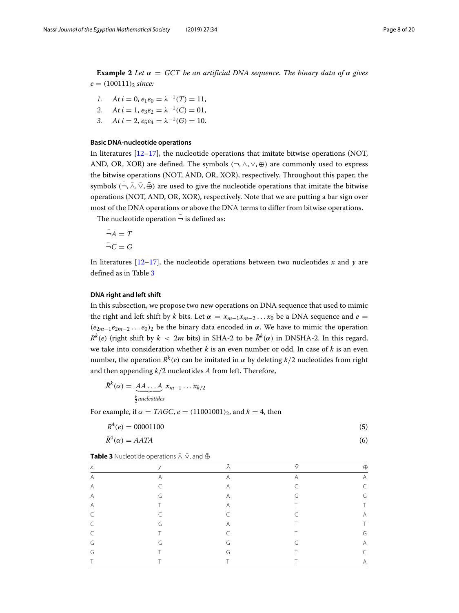**Example 2** *Let*  $\alpha = GCT$  *be an artificial DNA sequence. The binary data of*  $\alpha$  *gives*  $e = (100111)_2$  *since:* 

1. At 
$$
i = 0
$$
,  $e_1 e_0 = \lambda^{-1}(T) = 11$ ,

2. At 
$$
i = 1
$$
,  $e_3e_2 = \lambda^{-1}(C) = 01$ ,

3. At  $i = 2$ ,  $e_5e_4 = \lambda^{-1}(G) = 10$ .

# <span id="page-7-0"></span>**Basic DNA-nucleotide operations**

In literatures  $[12-17]$  $[12-17]$ , the nucleotide operations that imitate bitwise operations (NOT, AND, OR, XOR) are defined. The symbols  $(\neg, \land, \lor, \oplus)$  are commonly used to express the bitwise operations (NOT, AND, OR, XOR), respectively. Throughout this paper, the symbols  $\overline{(-}, \overline{\wedge}, \overline{\vee}, \overline{\oplus})$  are used to give the nucleotide operations that imitate the bitwise operations (NOT, AND, OR, XOR), respectively. Note that we are putting a bar sign over most of the DNA operations or above the DNA terms to differ from bitwise operations.

The nucleotide operation  $\bar{\bar{}}$  is defined as:

$$
\bar{\neg}A = T
$$

$$
\bar{\neg}C = G
$$

In literatures  $[12-17]$  $[12-17]$ , the nucleotide operations between two nucleotides *x* and *y* are defined as in Table [3](#page-7-2)

# <span id="page-7-1"></span>**DNA right and left shift**

In this subsection, we propose two new operations on DNA sequence that used to mimic the right and left shift by *k* bits. Let  $\alpha = x_{m-1}x_{m-2}...x_0$  be a DNA sequence and  $e =$  $(e_{2m-1}e_{2m-2}\dots e_0)_2$  be the binary data encoded in  $\alpha$ . We have to mimic the operation  $R^k(e)$  (right shift by  $k < 2m$  bits) in SHA-2 to be  $\bar{R}^k(\alpha)$  in DNSHA-2. In this regard, we take into consideration whether *k* is an even number or odd. In case of *k* is an even number, the operation  $R^k(e)$  can be imitated in  $\alpha$  by deleting  $k/2$  nucleotides from right and then appending *k*/2 nucleotides *A* from left. Therefore,

$$
\bar{R}^{k}(\alpha) = \underbrace{A A \dots A}_{\frac{k}{2} nucleotides} x_{m-1} \dots x_{k/2}
$$

For example, if  $\alpha = TAGC$ ,  $e = (11001001)_2$ , and  $k = 4$ , then

$$
R^4(e) = 00001100
$$
\n<sup>(5)</sup>

$$
\bar{R}^4(\alpha) = AATA \tag{6}
$$

<span id="page-7-2"></span>**Table 3** Nucleotide operations  $\bar{\wedge}$ ,  $\bar{\vee}$ , and  $\bar{\oplus}$ 

| $\chi$ | $\sqrt{ }$ | $\wedge$       |                | $\oplus$ |
|--------|------------|----------------|----------------|----------|
| A      | A          | $\overline{A}$ | $\overline{A}$ | А        |
| A      | $\subset$  | A              | $\subset$      | C        |
| A      | G          | A              | G              | G        |
| A      | $\top$     | A              | $\top$         |          |
| C      | $\subset$  | $\subset$      | C              | А        |
| C      | G          | Α              |                |          |
| C      | $\top$     | $\sqrt{2}$     |                | G        |
| G      | G          | G              | G              | Α        |
| G      | Τ          | G              |                | C        |
| ┯      |            | ᅮ              |                | A        |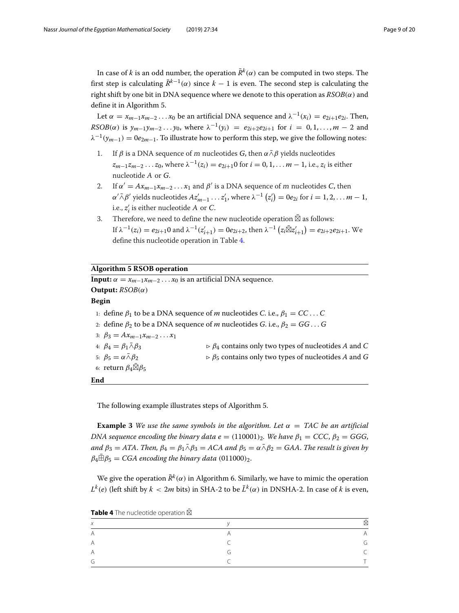In case of *k* is an odd number, the operation  $\bar{R}^k(\alpha)$  can be computed in two steps. The first step is calculating  $\bar{R}^{k-1}(\alpha)$  since  $k-1$  is even. The second step is calculating the right shift by one bit in DNA sequence where we denote to this operation as  $RSOB(\alpha)$  and define it in Algorithm 5.

Let  $\alpha = x_{m-1}x_{m-2}...x_0$  be an artificial DNA sequence and  $\lambda^{-1}(x_i) = e_{2i+1}e_{2i}$ . Then, *RSOB*( $\alpha$ ) is  $y_{m-1}y_{m-2} \ldots y_0$ , where  $\lambda^{-1}(y_i) = e_{2i+2}e_{2i+1}$  for  $i = 0, 1, \ldots, m-2$  and  $\lambda^{-1}(y_{m-1}) = 0e_{2m-1}$ . To illustrate how to perform this step, we give the following notes:

- 1. If  $\beta$  is a DNA sequence of m nucleotides *G*, then  $\alpha \bar{\wedge} \beta$  yields nucleotides  $z_{m-1}z_{m-2}...z_0$ , where  $\lambda^{-1}(z_i) = e_{2i+1}0$  for  $i = 0, 1, ...$  *m* − 1, i.e.,  $z_i$  is either nucleotide <sup>A</sup> or *G*.
- 2. If  $\alpha' = Ax_{m-1}x_{m-2} \ldots x_1$  and  $\beta'$  is a DNA sequence of m nucleotides *C*, then  $\alpha$  =  $Ax_{m-1}x_{m-2} \ldots x_1$  and  $\rho$  is a DNA sequend<br>  $\alpha' \bar{\wedge} \beta'$  yields nucleotides  $Az'_{m-1} \ldots z'_1$ , where  $\lambda^{-1}$  (  $(z'_i) = 0e_{2i}$  for  $i = 1, 2, \ldots m - 1$ , i.e., *z <sup>i</sup>* is either nucleotide <sup>A</sup> or *C*.
- 3. Therefore, we need to define the new nucleotide operation  $\boxtimes$  as follows: If  $\lambda^{-1}(z_i) = e_{2i+1}0$  and  $\lambda^{-1}(z'_{i+1}) = 0e_{2i+2}$ , then  $\lambda^{-1}$  (  $(z_i \boxtimes z'_{i+1}) = e_{2i+2}e_{2i+1}$ . We define this nucleotide operation in Table [4.](#page-8-0)

# **Algorithm 5 RSOB operation**

**Input:**  $\alpha = x_{m-1}x_{m-2} \dots x_0$  is an artificial DNA sequence. **Output:** *RSOB*(α) **Begin** 1: define  $\beta_1$  to be a DNA sequence of *m* nucleotides *C*. i.e.,  $\beta_1 = CC \dots C$ 2: define  $\beta_2$  to be a DNA sequence of *m* nucleotides *G*. i.e.,  $\beta_2 = GG \dots G$ 3:  $\beta_3 = Ax_{m-1}x_{m-2}...x_1$ 4:  $\beta_4 = \beta_1 \bar{\wedge} \beta_3$   $\beta_4$  contains only two types of nucleotides *A* and *C* 5:  $β_5 = α\bar{α}β_2$   $⇒ β_5$  contains only two types of nucleotides *A* and *G* 6: return  $\beta_4\boxtimes\beta_5$ **End**

The following example illustrates steps of Algorithm 5.

**Example 3** *We use the same symbols in the algorithm. Let*  $\alpha = TAC$  *be an artificial DNA sequence encoding the binary data e* =  $(110001)_2$ *. We have*  $\beta_1$  = *CCC*,  $\beta_2$  = *GGG*, *and*  $\beta_3 = ATA$ . *Then,*  $\beta_4 = \beta_1 \bar{\wedge} \beta_3 = ACA$  *and*  $\beta_5 = \alpha \bar{\wedge} \beta_2 = GAA$ . *The result is given by*  $\beta_4 \bar{\boxplus} \beta_5 = CGA$  encoding the binary data (011000)<sub>2</sub>.

We give the operation  $\bar{R}^k(\alpha)$  in Algorithm 6. Similarly, we have to mimic the operation  $L^k(e)$  (left shift by  $k < 2m$  bits) in SHA-2 to be  $\bar{L}^k(\alpha)$  in DNSHA-2. In case of *k* is even,

<span id="page-8-0"></span>**Table 4** The nucleotide operation  $\boxtimes$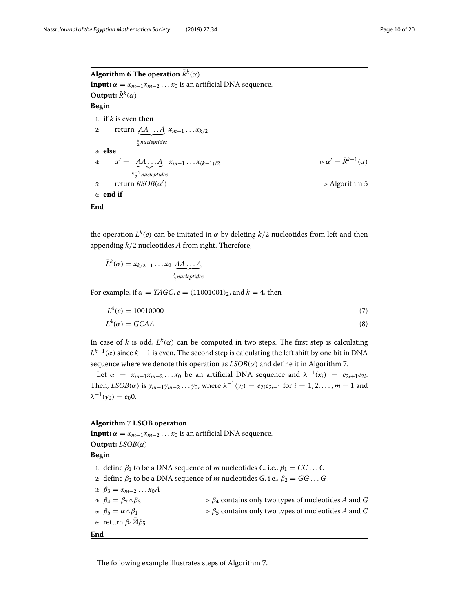**Algorithm 6 The operation**  $\bar{R}^k(\alpha)$ **Input:**  $\alpha = x_{m-1}x_{m-2} \dots x_0$  is an artificial DNA sequence. **Output:**  $\bar{R}^k(\alpha)$ **Begin** 1: **if** *k* is even **then** 2: return  $\underline{A}\underline{A} \dots \underline{A} x_{m-1} \dots x_{k/2}$ *k* <sup>2</sup> *nucleptides* 3: **else** 4:  $\alpha' = A A \dots A \quad x_{m-1} \dots x_{(k-1)/2}$   $\qquad \qquad \triangleright \alpha' = \bar{R}^{k-1}(\alpha)$ *k*−1 <sup>2</sup> *nucleptides* 5:  $return RSOB(α')$  $\triangleright$  Algorithm 5 6: **end if End**

the operation  $L^k(e)$  can be imitated in  $\alpha$  by deleting  $k/2$  nucleotides from left and then appending *k*/2 nucleotides *A* from right. Therefore,

$$
\bar{L}^{k}(\alpha) = x_{k/2-1} \dots x_0 \underbrace{AA \dots A}_{\frac{k}{2} nucleptides}
$$

For example, if  $\alpha = TAGC$ ,  $e = (11001001)$ , and  $k = 4$ , then

$$
L^4(e) = 10010000 \tag{7}
$$

$$
\bar{L}^4(\alpha) = GCAA \tag{8}
$$

In case of *k* is odd,  $\bar{L}^k(\alpha)$  can be computed in two steps. The first step is calculating  $\bar{L}^{k-1}(\alpha)$  since  $k-1$  is even. The second step is calculating the left shift by one bit in DNA sequence where we denote this operation as  $LSOB(\alpha)$  and define it in Algorithm 7.

Let  $\alpha = x_{m-1}x_{m-2}...x_0$  be an artificial DNA sequence and  $\lambda^{-1}(x_i) = e_{2i+1}e_{2i}$ . Then,  $LSOB(\alpha)$  is  $\gamma_{m-1}\gamma_{m-2}\ldots\gamma_0$ , where  $\lambda^{-1}(\gamma_i) = e_{2i}e_{2i-1}$  for  $i = 1, 2, \ldots, m-1$  and  $\lambda^{-1}(\gamma_0) = e_0 0.$ 

# **Algorithm 7 LSOB operation**

**Input:**  $\alpha = x_{m-1}x_{m-2} \dots x_0$  is an artificial DNA sequence. **Output:** *LSOB*(α) **Begin** 1: define  $\beta_1$  to be a DNA sequence of *m* nucleotides *C*. i.e.,  $\beta_1 = CC \dots C$ 2: define  $\beta_2$  to be a DNA sequence of *m* nucleotides *G*. i.e.,  $\beta_2 = GG \dots G$ 3:  $\beta_3 = x_{m-2} \dots x_0 A$ 4:  $\beta_4 = \beta_2 \bar{\wedge} \beta_3$   $\beta_4$  contains only two types of nucleotides *A* and *G* 5:  $β_5 = α\bar{Δ}β_1$   $⇒ β_5$  contains only two types of nucleotides *A* and *C* 6: return  $\beta_4\boxtimes\beta_5$ **End**

The following example illustrates steps of Algorithm 7.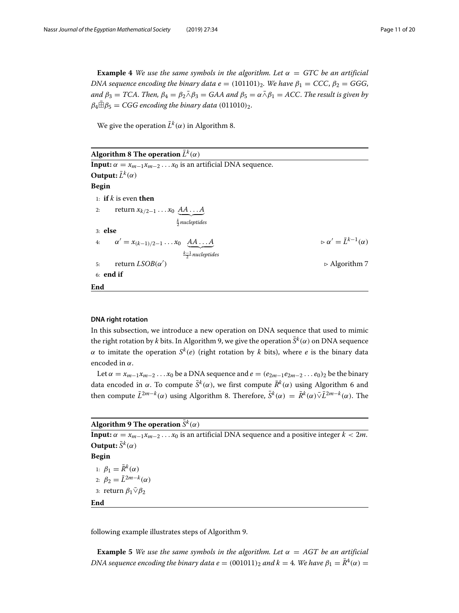**Example 4** *We use the same symbols in the algorithm. Let*  $\alpha = GTC$  *be an artificial DNA sequence encoding the binary data e* = (101101)<sub>2</sub>*. We have*  $\beta_1$  = *CCC*,  $\beta_2$  = *GGG*, *and*  $\beta_3 = TCA$ . *Then,*  $\beta_4 = \beta_2 \bar{\wedge} \beta_3 = GAA$  *and*  $\beta_5 = \alpha \bar{\wedge} \beta_1 = ACC$ . *The result is given by*  $\beta_4 \bar{\boxplus} \beta_5 = CGG$  encoding the binary data (011010)<sub>2</sub>.

We give the operation  $\bar{L}^k(\alpha)$  in Algorithm 8.

| Algorithm 8 The operation $\bar{L}^k(\alpha)$                                    |                                                       |
|----------------------------------------------------------------------------------|-------------------------------------------------------|
| <b>Input:</b> $\alpha = x_{m-1}x_{m-2} \dots x_0$ is an artificial DNA sequence. |                                                       |
| Output: $\bar{L}^k(\alpha)$                                                      |                                                       |
| Begin                                                                            |                                                       |
| 1: if k is even then                                                             |                                                       |
| return $x_{k/2-1} \ldots x_0 \underline{A A \ldots A}$<br>2:                     |                                                       |
| $\frac{k}{2}$ nucleptides                                                        |                                                       |
| $3:$ else                                                                        |                                                       |
| 4: $\alpha' = x_{(k-1)/2-1} \dots x_0 \quad \underline{A A \dots A}$             | $\triangleright \alpha' = \overline{L}^{k-1}(\alpha)$ |
| $\frac{k-1}{2}$ nucleptides                                                      |                                                       |
| return $LSOB(\alpha')$<br>5:                                                     | $\triangleright$ Algorithm 7                          |
| $6:$ end if                                                                      |                                                       |
| End                                                                              |                                                       |

# <span id="page-10-0"></span>**DNA right rotation**

In this subsection, we introduce a new operation on DNA sequence that used to mimic the right rotation by *k* bits. In Algorithm 9, we give the operation  $\bar{S}^k(\alpha)$  on DNA sequence α to imitate the operation *Sk*(*e*) (right rotation by *k* bits), where *e* is the binary data encoded in  $\alpha$ .

Let  $\alpha = x_{m-1}x_{m-2}...x_0$  be a DNA sequence and  $e = (e_{2m-1}e_{2m-2}...e_0)_2$  be the binary data encoded in  $\alpha$ . To compute  $\bar{S}^k(\alpha)$ , we first compute  $\bar{R}^k(\alpha)$  using Algorithm 6 and then compute  $\bar{L}^{2m-k}(\alpha)$  using Algorithm 8. Therefore,  $\bar{S}^k(\alpha) = \bar{R}^k(\alpha)\bar{\vee}\bar{L}^{2m-k}(\alpha)$ . The

# **Algorithm 9 The operation**  $\bar{S}^k(\alpha)$

**Input:**  $\alpha = x_{m-1}x_{m-2}...x_0$  is an artificial DNA sequence and a positive integer  $k < 2m$ . **Output:**  $\bar{S}^k(\alpha)$ **Begin** 1:  $\beta_1 = \bar{R}^k(\alpha)$ 2:  $\beta_2 = \bar{L}^{2m-k}(\alpha)$ 3: return  $\beta_1 \bar{\vee} \beta_2$ **End**

following example illustrates steps of Algorithm 9.

**Example 5** *We use the same symbols in the algorithm. Let*  $\alpha = AGT$  *be an artificial DNA sequence encoding the binary data e* =  $(001011)_2$  *and k* = 4*. We have*  $\beta_1 = \overline{R}^4(\alpha)$  =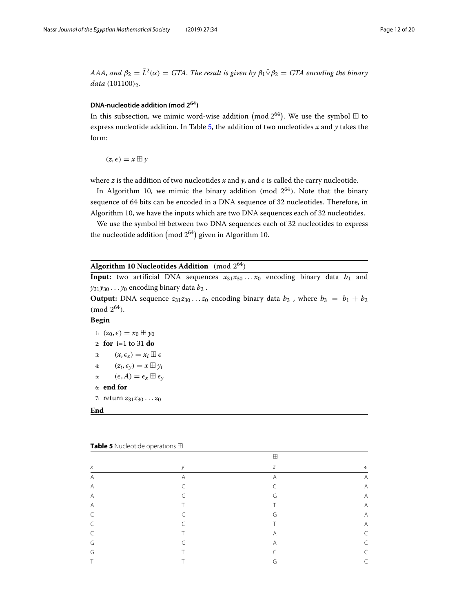*AAA*, and  $\beta_2 = \overline{L}^2(\alpha) = GTA$ . The result is given by  $\beta_1 \overline{\vee} \beta_2 = GTA$  encoding the binary *data* (101100)<sub>2</sub>.

# <span id="page-11-0"></span>**DNA-nucleotide addition (mod 264)**

In this subsection, we mimic word-wise addition mod 2<sup>64</sup>). We use the symbol  $\boxplus$  to express nucleotide addition. In Table [5,](#page-11-1) the addition of two nucleotides *x* and *y* takes the form:

 $(z,\epsilon) = x \boxplus y$ 

where *z* is the addition of two nucleotides *x* and *y*, and  $\epsilon$  is called the carry nucleotide.

In Algorithm 10, we mimic the binary addition (mod  $2^{64}$ ). Note that the binary sequence of 64 bits can be encoded in a DNA sequence of 32 nucleotides. Therefore, in Algorithm 10, we have the inputs which are two DNA sequences each of 32 nucleotides.

We use the symbol  $\boxplus$  between two DNA sequences each of 32 nucleotides to express we use the symbol  $\boxplus$ <br>the nucleotide addition ( between two DNA sequences ea<br>mod 2<sup>64</sup>) given in Algorithm 10.

| Algorithm 10 Nucleotides Addition (mod $2^{64}$ ) |  |
|---------------------------------------------------|--|
|---------------------------------------------------|--|

**Input:** two artificial DNA sequences  $x_{31}x_{30} \ldots x_0$  encoding binary data  $b_1$  and  $y_{31}y_{30} \ldots y_0$  encoding binary data  $b_2$ .

**Output:** DNA sequence  $z_{31}z_{30}...z_0$  encoding binary data  $b_3$ , where  $b_3 = b_1 + b_2$  $(mod 2^{64}).$ 

## **Begin**

1:  $(z_0, \epsilon) = x_0 \boxplus y_0$ 2: **for** i=1 to 31 **do** 3:  $(x, \epsilon_x) = x_i \boxplus \epsilon$ 4:  $(z_i, \epsilon_{\gamma}) = x \boxplus y_i$ 5:  $(\epsilon, A) = \epsilon_x \boxplus \epsilon_y$ 6: **end for** 7: return *z*31*z*<sup>30</sup> ... *z*<sup>0</sup> **End**

|        |            | $\mathbb{H}$   |                |
|--------|------------|----------------|----------------|
| $\chi$ | $\vee$     | Ζ              | $\epsilon$     |
| Α      | A          | $\overline{A}$ | A              |
| A      | $\sqrt{2}$ | $\sqrt{2}$     | $\overline{A}$ |
| Α      | G          | G              | A              |
| Α      | $\top$     |                | A              |
| C      | ╭          | G              | A              |
| C      | G          |                | A              |
| C      | Τ          | Α              | $\subset$      |
| G      | G          | Α              | C              |
| G      | Τ          |                | C              |
|        |            | G              | C              |

<span id="page-11-1"></span>

| <b>Table 5</b> Nucleotide operations <b>H</b> |  |
|-----------------------------------------------|--|
|-----------------------------------------------|--|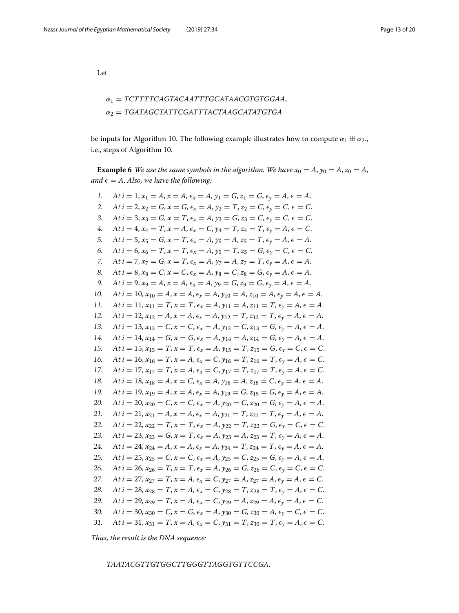Let

# α<sup>1</sup> = *TCTTTTCAGTACAATTTGCATAACGTGTGGAA*, α<sup>2</sup> = *TGATAGCTATTCGATTTACTAAGCATATGTGA*

be inputs for Algorithm 10. The following example illustrates how to compute  $\alpha_1 \boxplus \alpha_2$ . i.e., steps of Algorithm 10.

**Example 6** *We use the same symbols in the algorithm. We have*  $x_0 = A$ ,  $y_0 = A$ ,  $z_0 = A$ , *and*  $\epsilon = A$ . *Also, we have the following:* 

| 1.  | At $i = 1$ , $x_1 = A$ , $x = A$ , $\epsilon_x = A$ , $y_1 = G$ , $z_1 = G$ , $\epsilon_y = A$ , $\epsilon = A$ .           |
|-----|-----------------------------------------------------------------------------------------------------------------------------|
| 2.  | At $i = 2$ , $x_2 = G$ , $x = G$ , $\epsilon_x = A$ , $y_2 = T$ , $z_2 = C$ , $\epsilon_y = C$ , $\epsilon = C$ .           |
| 3.  | At $i = 3$ , $x_3 = G$ , $x = T$ , $\epsilon_x = A$ , $y_3 = G$ , $z_3 = C$ , $\epsilon_y = C$ , $\epsilon = C$ .           |
| 4.  | At $i = 4$ , $x_4 = T$ , $x = A$ , $\epsilon_x = C$ , $y_4 = T$ , $z_4 = T$ , $\epsilon_y = A$ , $\epsilon = C$ .           |
| 5.  | At $i = 5$ , $x_5 = G$ , $x = T$ , $\epsilon_x = A$ , $y_5 = A$ , $z_5 = T$ , $\epsilon_y = A$ , $\epsilon = A$ .           |
| 6.  | At $i = 6$ , $x_6 = T$ , $x = T$ , $\epsilon_x = A$ , $y_5 = T$ , $z_5 = G$ , $\epsilon_y = C$ , $\epsilon = C$ .           |
| 7.  | At $i = 7$ , $x_7 = G$ , $x = T$ , $\epsilon_x = A$ , $y_7 = A$ , $z_7 = T$ , $\epsilon_y = A$ , $\epsilon = A$ .           |
| 8.  | At $i = 8$ , $x_8 = C$ , $x = C$ , $\epsilon_x = A$ , $y_8 = C$ , $z_8 = G$ , $\epsilon_y = A$ , $\epsilon = A$ .           |
| 9.  | At $i = 9$ , $x_9 = A$ , $x = A$ , $\epsilon_x = A$ , $y_9 = G$ , $z_9 = G$ , $\epsilon_y = A$ , $\epsilon = A$ .           |
| 10. | At $i = 10$ , $x_{10} = A$ , $x = A$ , $\epsilon_x = A$ , $y_{10} = A$ , $z_{10} = A$ , $\epsilon_y = A$ , $\epsilon = A$ . |
| 11. | At $i = 11$ , $x_{11} = T$ , $x = T$ , $\epsilon_x = A$ , $y_{11} = A$ , $z_{11} = T$ , $\epsilon_y = A$ , $\epsilon = A$ . |
| 12. | At $i = 12$ , $x_{12} = A$ , $x = A$ , $\epsilon_x = A$ , $y_{12} = T$ , $z_{12} = T$ , $\epsilon_y = A$ , $\epsilon = A$ . |
| 13. | At $i = 13$ , $x_{13} = C$ , $x = C$ , $\epsilon_x = A$ , $y_{13} = C$ , $z_{13} = G$ , $\epsilon_y = A$ , $\epsilon = A$ . |
| 14. | At $i = 14$ , $x_{14} = G$ , $x = G$ , $\epsilon_x = A$ , $y_{14} = A$ , $z_{14} = G$ , $\epsilon_y = A$ , $\epsilon = A$ . |
| 15. | At $i = 15$ , $x_{15} = T$ , $x = T$ , $\epsilon_x = A$ , $y_{15} = T$ , $z_{15} = G$ , $\epsilon_y = C$ , $\epsilon = C$ . |
| 16. | At $i = 16$ , $x_{16} = T$ , $x = A$ , $\epsilon_x = C$ , $y_{16} = T$ , $z_{16} = T$ , $\epsilon_y = A$ , $\epsilon = C$ . |
| 17. | At $i = 17$ , $x_{17} = T$ , $x = A$ , $\epsilon_x = C$ , $y_{17} = T$ , $z_{17} = T$ , $\epsilon_y = A$ , $\epsilon = C$ . |
| 18. | At $i = 18$ , $x_{18} = A$ , $x = C$ , $\epsilon_x = A$ , $y_{18} = A$ , $z_{18} = C$ , $\epsilon_y = A$ , $\epsilon = A$ . |
| 19. | At $i = 19$ , $x_{19} = A$ , $x = A$ , $\epsilon_x = A$ , $y_{19} = G$ , $z_{19} = G$ , $\epsilon_y = A$ , $\epsilon = A$ . |
| 20. | At $i = 20$ , $x_{20} = C$ , $x = C$ , $\epsilon_x = A$ , $y_{20} = C$ , $z_{20} = G$ , $\epsilon_y = A$ , $\epsilon = A$ . |
| 21. | At $i = 21$ , $x_{21} = A$ , $x = A$ , $\epsilon_x = A$ , $y_{21} = T$ , $z_{21} = T$ , $\epsilon_y = A$ , $\epsilon = A$ . |
| 22. | At $i = 22$ , $x_{22} = T$ , $x = T$ , $\epsilon_x = A$ , $y_{22} = T$ , $z_{22} = G$ , $\epsilon_y = C$ , $\epsilon = C$ . |
| 23. | At $i = 23$ , $x_{23} = G$ , $x = T$ , $\epsilon_x = A$ , $y_{23} = A$ , $z_{23} = T$ , $\epsilon_y = A$ , $\epsilon = A$ . |
| 24. | At $i = 24$ , $x_{24} = A$ , $x = A$ , $\epsilon_x = A$ , $y_{24} = T$ , $z_{24} = T$ , $\epsilon_y = A$ , $\epsilon = A$ . |
| 25. | At $i = 25$ , $x_{25} = C$ , $x = C$ , $\epsilon_x = A$ , $y_{25} = C$ , $z_{25} = G$ , $\epsilon_y = A$ , $\epsilon = A$ . |
| 26. | At $i = 26$ , $x_{26} = T$ , $x = T$ , $\epsilon_x = A$ , $y_{26} = G$ , $z_{26} = C$ , $\epsilon_y = C$ , $\epsilon = C$ . |
| 27. | At $i = 27$ , $x_{27} = T$ , $x = A$ , $\epsilon_x = C$ , $y_{27} = A$ , $z_{27} = A$ , $\epsilon_y = A$ , $\epsilon = C$ . |
| 28. | At $i = 28$ , $x_{28} = T$ , $x = A$ , $\epsilon_x = C$ , $y_{28} = T$ , $z_{28} = T$ , $\epsilon_y = A$ , $\epsilon = C$ . |
| 29. | At $i = 29$ , $x_{29} = T$ , $x = A$ , $\epsilon_x = C$ , $y_{29} = A$ , $z_{29} = A$ , $\epsilon_y = A$ , $\epsilon = C$ . |
| 30. | At $i = 30$ , $x_{30} = C$ , $x = G$ , $\epsilon_x = A$ , $y_{30} = G$ , $z_{30} = A$ , $\epsilon_y = C$ , $\epsilon = C$ . |
| 31. | At $i = 31$ , $x_{31} = T$ , $x = A$ , $\epsilon_x = C$ , $y_{31} = T$ , $z_{30} = T$ , $\epsilon_y = A$ , $\epsilon = C$ . |
|     |                                                                                                                             |

*Thus, the result is the DNA sequence:*

*TAATACGTTGTGGCTTGGGTTAGGTGTTCCGA*.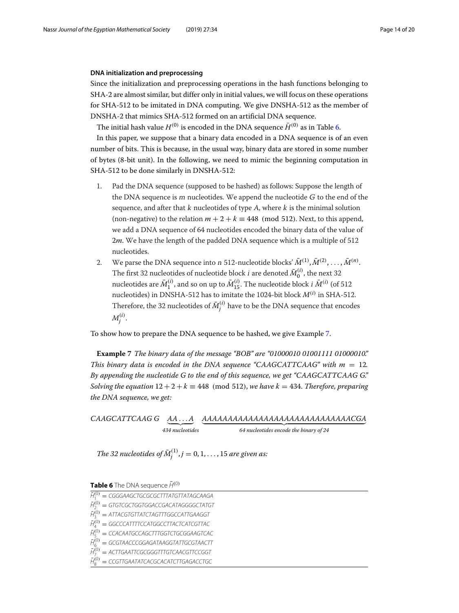## <span id="page-13-0"></span>**DNA initialization and preprocessing**

Since the initialization and preprocessing operations in the hash functions belonging to SHA-2 are almost similar, but differ only in initial values, we will focus on these operations for SHA-512 to be imitated in DNA computing. We give DNSHA-512 as the member of DNSHA-2 that mimics SHA-512 formed on an artificial DNA sequence.

The initial hash value  $H^{(0)}$  is encoded in the DNA sequence  $\bar{H}^{(0)}$  as in Table [6.](#page-13-1)

In this paper, we suppose that a binary data encoded in a DNA sequence is of an even number of bits. This is because, in the usual way, binary data are stored in some number of bytes (8-bit unit). In the following, we need to mimic the beginning computation in SHA-512 to be done similarly in DNSHA-512:

- 1. Pad the DNA sequence (supposed to be hashed) as follows: Suppose the length of the DNA sequence is  $m$  nucleotides. We append the nucleotide  $G$  to the end of the sequence, and after that  $k$  nucleotides of type  $A$ , where  $k$  is the minimal solution (non-negative) to the relation  $m + 2 + k \equiv 448 \pmod{512}$ . Next, to this append, we add a DNA sequence of 64 nucleotides encoded the binary data of the value of 2*m*. We have the length of the padded DNA sequence which is a multiple of 512 nucleotides.
- 2. We parse the DNA sequence into  $n$  512-nucleotide blocks'  $\bar{M}^{(1)}, \bar{M}^{(2)}, \ldots, \bar{M}^{(n)}.$ The first 32 nucleotides of nucleotide block *i* are denoted  $\bar{M}^{(i)}_0$ , the next 32 nucleotides are  $\bar{M}^{(i)}_1$  , and so on up to  $\bar{M}^{(i)}_{15}$ . The nucleotide block *i*  $\bar{M}^{(i)}$  (of 512 nucleotides) in DNSHA-512 has to imitate the 1024-bit block  $M^{(i)}$  in SHA-512. Therefore, the 32 nucleotides of  $\bar{M}_j^{(i)}$  have to be the DNA sequence that encodes  $M_j^{(i)}$ .

To show how to prepare the DNA sequence to be hashed, we give Example [7.](#page-13-2)

<span id="page-13-2"></span>**Example 7** *The binary data of the message "BOB" are "01000010 01001111 01000010." This binary data is encoded in the DNA sequence "CAAGCATTCAAG" with*  $m = 12$ *. By appending the nucleotide G to the end of this sequence, we get "CAAGCATTCAAG G." Solving the equation*  $12 + 2 + k \equiv 448 \pmod{512}$ , *we have*  $k = 434$ . *Therefore, preparing the DNA sequence, we get:*

*CAAGCATTCAAG G AA*...*A* - *AAAAAAAAAAAAAAAAAAAAAAAAAAAAACGA* - *434 nucleotides 64 nucleotides encode the binary of 24*

The 32 nucleotides of  $\bar{M}^{(1)}_j$  ,  $j=0,1,\ldots,15$  are given as:

<span id="page-13-1"></span>**Table 6** The DNA sequence  $\bar{H}^{(0)}$ 

| $\bar{H}_{1}^{(0)} = CGGGAAGCTGCGGCTTTATGTTATAGCAAGA$  |
|--------------------------------------------------------|
| $\bar{H}_{2}^{(0)} = GTGTCGCTGGTGGACCGACATAGGGGCTATGT$ |
| $\bar{H}_{3}^{(0)} =$ ATTACGTGTTATCTAGTTTGGCCATTGAAGGT |
| $\bar{H}_{4}^{(0)} = GGCCATTTTCCATGGCCTTACTCATCGTTAC$  |
| $\bar{H}_{5}^{(0)}$ = CCACAATGCCAGCTTTGGTCTGCGGAAGTCAC |
| $\bar{H}_{6}^{(0)} = GCGTAACCCGGAGATAAGGTATTGGGTAACTT$ |

- $\bar{H}_{7}^{(0)} =$  ACTTGAATTCGCGGGTTTGTCAACGTTCCGGT
- $\bar{H}_8^{(0)} =$  CCGTTGAATATCACGCACATCTTGAGACCTGC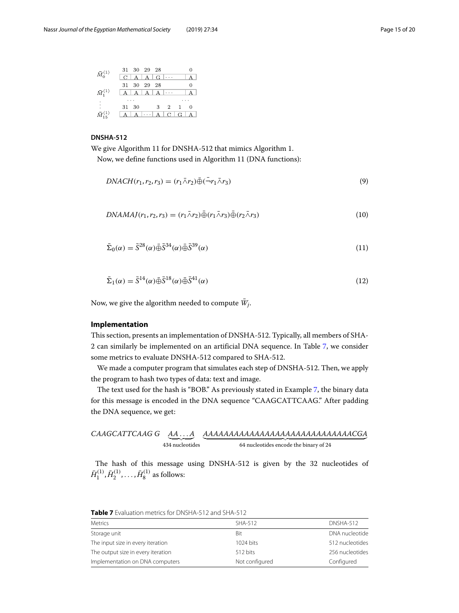|                             | 31 30 29 28                     |   |
|-----------------------------|---------------------------------|---|
| $\bar{M}_0^{(1)}$           | $ C $ $A$ $ A $ $G$ $ \cdots$   |   |
|                             | 31 30 29 28                     | 0 |
| $\bar{M}^{(1)}_1$           | $A$ $A$ $A$ $A$ $\cdots$        |   |
|                             |                                 |   |
| $\mathcal{L}^{\mathcal{A}}$ | 3 2 1 0<br>31 30                |   |
| $\bar{M}_{15}^{(1)}$        | $A \cup A \cup C \cup G \cup A$ |   |

# **DNSHA-512**

We give Algorithm 11 for DNSHA-512 that mimics Algorithm 1.

Now, we define functions used in Algorithm 11 (DNA functions):

$$
DNACH(r_1, r_2, r_3) = (r_1 \bar{\wedge} r_2) \bar{\oplus} (\bar{\neg} r_1 \bar{\wedge} r_3)
$$
\n<sup>(9)</sup>

$$
DNAMAJ(r_1, r_2, r_3) = (r_1 \bar{\wedge} r_2) \bar{\oplus} (r_1 \bar{\wedge} r_3) \bar{\oplus} (r_2 \bar{\wedge} r_3)
$$
\n
$$
(10)
$$

$$
\bar{\Sigma}_0(\alpha) = \bar{S}^{28}(\alpha)\bar{\oplus}\bar{S}^{34}(\alpha)\bar{\oplus}\bar{S}^{39}(\alpha)
$$
\n(11)

$$
\bar{\Sigma}_1(\alpha) = \bar{S}^{14}(\alpha)\bar{\oplus}\bar{S}^{18}(\alpha)\bar{\oplus}\bar{S}^{41}(\alpha)
$$
\n(12)

Now, we give the algorithm needed to compute  $\bar{W}_j$ .

#### <span id="page-14-0"></span>**Implementation**

This section, presents an implementation of DNSHA-512. Typically, all members of SHA-2 can similarly be implemented on an artificial DNA sequence. In Table [7,](#page-14-1) we consider some metrics to evaluate DNSHA-512 compared to SHA-512.

We made a computer program that simulates each step of DNSHA-512. Then, we apply the program to hash two types of data: text and image.

The text used for the hash is "BOB." As previously stated in Example [7,](#page-13-2) the binary data for this message is encoded in the DNA sequence "CAAGCATTCAAG." After padding the DNA sequence, we get:

$$
CAAGCATTCAAG G \xrightarrow{AA...A} \underbrace{AAAAAAAAAAAAAAAAAAAAAAAAAAAAAAAACGA}_{434 \text{ nucleotides}}
$$
\n
$$
\underbrace{64 \text{ nucleotides}}_{64 \text{ nucleotides} \text{ encode the binary of 24}}
$$

The hash of this message using DNSHA-512 is given by the 32 nucleotides of  $\bar{H}^{(1)}_1, \bar{H}^{(1)}_2, \ldots, \bar{H}^{(1)}_8$  as follows:

| <b>Metrics</b>                     | SHA-512             | DNSHA-512       |
|------------------------------------|---------------------|-----------------|
| Storage unit                       | Bit                 | DNA nucleotide  |
| The input size in every iteration  | $1024 \text{ bits}$ | 512 nucleotides |
| The output size in every iteration | $512 \text{ bits}$  | 256 nucleotides |
| Implementation on DNA computers    | Not configured      | Configured      |

<span id="page-14-1"></span>**Table 7** Evaluation metrics for DNSHA-512 and SHA-512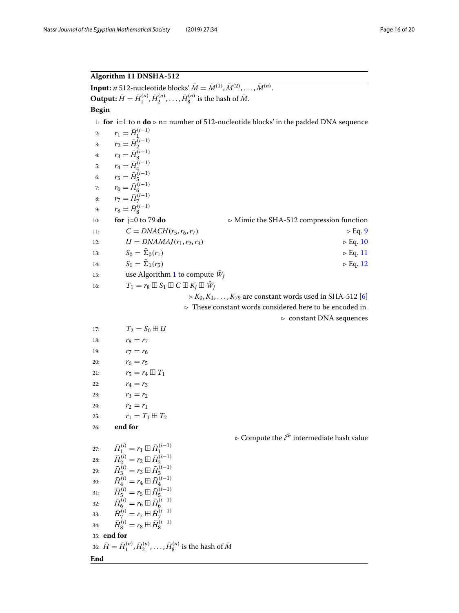# **Algorithm 11 DNSHA-512**

**Input:** *n* 512-nucleotide blocks'  $\bar{M} = \bar{M}^{(1)}, \bar{M}^{(2)}, \ldots, \bar{M}^{(n)}$ .  $\mathbf{Output:} \overline{H} = \overline{H}_1^{(n)}, \overline{H}_2^{(n)}, \dots, \overline{H}_8^{(n)}$  is the hash of  $\overline{M}$ . **Begin** 1: **for** i=1 to n  $\mathbf{do} \triangleright$  n= number of 512-nucleotide blocks' in the padded DNA sequence 2:  $r_1 = \bar{H}_1^{(i-1)}$ 3:  $r_1 = H_1$ <br>3:  $r_2 = \bar{H}_2^{(i-1)}$ 4:  $r_3 = \bar{H}_3^{(i-1)}$ 5:  $r_4 = \bar{H}_4^{(i-1)}$ <br>6:  $r_5 = \bar{H}_5^{(i-1)}$ 7:  $r_6 = \bar{H}^{(i-1)}_{6}$ 8:  $r_7 = \bar{H}_{7}^{(i-1)}$ 9:  $r_8 = \bar{H}_8^{(i-1)}$ 10: **for** j=0 to 79 **do** Mimic the SHA-512 compression function 11:  $C = D N A C H (r_5, r_6, r_7)$   $\triangleright Eq. 9$ 12:  $U = DNAMAI(r_1, r_2, r_3)$   $\triangleright Eq. 10$ 13:  $S_0 = \bar{\Sigma}_0(r_1)$   $\trianglerighteq E_0$ . 11 14:  $S_1 = \bar{\Sigma}_1(r_5)$   $\trianglerighteq E_1 \cdot 12$ 15: use Algorithm 1 to compute  $\bar{W}_i$ 16:  $T_1 = r_8 \boxplus S_1 \boxplus C \boxplus K_j \boxplus \overline{W}_j$  $K_0, K_1, \ldots, K_{79}$  are constant words used in SHA-512 [6]  $\triangleright$  These constant words considered here to be encoded in  $\triangleright$  constant DNA sequences 17:  $T_2 = S_0 \boxplus U$ 18:  $r_8 = r_7$ 19:  $r_7 = r_6$ 20:  $r_6 = r_5$ 21:  $r_5 = r_4 \boxplus T_1$ 22:  $r_4 = r_3$ 23:  $r_3 = r_2$ 24:  $r_2 = r_1$ 25:  $r_1 = T_1 \boxplus T_2$ 26: **end for**  $\triangleright$  Compute the  $i^{th}$  intermediate hash value  $\begin{array}{ll} \bar{H}^{(i)}_1=r_1\boxplus\bar{H}^{(i-1)}_1\ \bar{H}^{(i)}_2=r_2\boxplus\bar{H}^{(i-1)}_2\ \bar{H}^{(i)}_3=r_3\boxplus\bar{H}^{(i-1)}_3\ \bar{H}^{(i)}_4=r_4\boxplus\bar{H}^{(i-1)}_4\ \bar{H}^{(i)}_5=r_5\boxplus\bar{H}^{(i-1)}_5\ \bar{H}^{(i)}_6=r_5\boxplus\bar{H}^{(i-1)}_5\ \bar{H}^{(i)}_7=r_6\boxplus\bar{H}^{(i-1$ 35: **end for**  $36: \bar{H} = \bar{H}_{1}^{(n)}, \bar{H}_{2}^{(n)}, \ldots, \bar{H}_{8}^{(n)}$  is the hash of  $\bar{M}$ 

#### **End**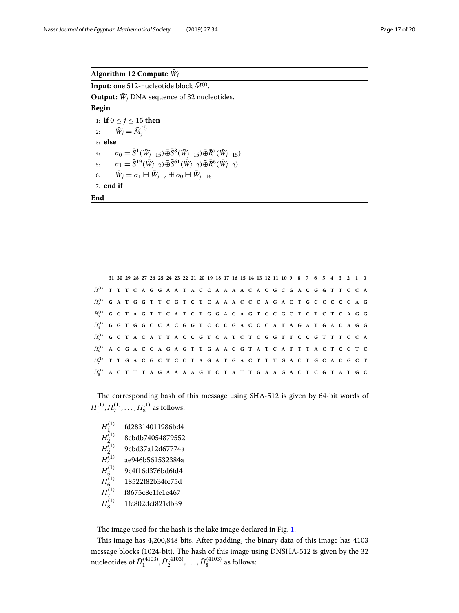# Algorithm 12 Compute  $\bar{W}_i$

 $\textbf{Input:} \text{ one } 512\text{-nucleotide block } \bar{M}^{(i)}.$ **Output:**  $\bar{W}_i$  DNA sequence of 32 nucleotides.

# **Begin**

1: **if**  $0 \le j \le 15$  **then** 2:  $\bar{W}_j = \bar{M}_j^{(i)}$ 3: **else**  $\sigma_0 = \bar{S}^1(\bar{W}_{j-15}) \bar{\oplus} \bar{S}^8(\bar{W}_{j-15}) \bar{\oplus} \bar{R}^7(\bar{W}_{j-15})$ 5:  $\sigma_1 = \bar{S}^{19}(\bar{W}_{i-2}) \bar{\oplus} \bar{S}^{61}(\bar{W}_{i-2}) \bar{\oplus} \bar{R}^6(\bar{W}_{i-2})$ 6:  $\bar{W}_j = \sigma_1 \boxplus \bar{W}_{j-7} \boxplus \sigma_0 \boxplus \bar{W}_{j-16}$ 7: **end if**

**End**

|                                                                                       |  |  |  |  | 31 30 29 28 27 26 25 24 23 22 21 20 19 18 17 16 15 14 13 12 11 10 9 8 7 6 5 4 3 2 1 0 |  |  |  |  |  |  |  |  |  |  |  |
|---------------------------------------------------------------------------------------|--|--|--|--|---------------------------------------------------------------------------------------|--|--|--|--|--|--|--|--|--|--|--|
| $\tilde{H}_1^{(1)}$ TTTCAGGAATACCAAAACACGCGACGGTTCCA                                  |  |  |  |  |                                                                                       |  |  |  |  |  |  |  |  |  |  |  |
| $\tilde{H}_2^{(1)}$ GATGGTTCGTCTCAAACCCAGACTGCCCCAG                                   |  |  |  |  |                                                                                       |  |  |  |  |  |  |  |  |  |  |  |
| $\bar{H}_3^{(1)}$ GCTAGTTCATCTGGACAGTCCGCTCTCTCAGG                                    |  |  |  |  |                                                                                       |  |  |  |  |  |  |  |  |  |  |  |
| $\tilde{H}_4^{(1)}$ G G T G G C C A C G G T C C C G A C C C A T A G A T G A C A G G   |  |  |  |  |                                                                                       |  |  |  |  |  |  |  |  |  |  |  |
| $\tilde{H}_5^{(1)}$ G C T A C A T T A C C G T C A T C T C G G T T C C G T T T C C A   |  |  |  |  |                                                                                       |  |  |  |  |  |  |  |  |  |  |  |
| $\tilde{H}^{(1)}_{6}$ A C G A C C A G A G T T G A A G G T A T C A T T T A C T C C T C |  |  |  |  |                                                                                       |  |  |  |  |  |  |  |  |  |  |  |
| $\bar{H}_{7}^{(1)}$ TTGACGCTCCTAGATGACTTTGACTGCACGCT                                  |  |  |  |  |                                                                                       |  |  |  |  |  |  |  |  |  |  |  |
| $\tilde{H}_8^{(1)}$ A C T T T A G A A A A G T C T A T T G A A G A C T C G T A T G C   |  |  |  |  |                                                                                       |  |  |  |  |  |  |  |  |  |  |  |

The corresponding hash of this message using SHA-512 is given by 64-bit words of  $H_1^{(1)}, H_2^{(1)}, \ldots, H_8^{(1)}$  as follows:

 $H_1^{(1)}$ fd28314011986bd4  $H_2^{(1)}$ 8ebdb74054879552  $H_2^{(1)}$ <sup>2</sup> 9cbd37a12d67774a  $H_4^{(1)}$ <sup>4</sup> ae946b561532384a  $H_5^{(1)}$ <sup>5</sup> 9c4f16d376bd6fd4  $H_6^{(1)}$ <sup>6</sup> 18522f82b34fc75d  $H_7^{(1)}$ <sup>7</sup> f8675c8e1fe1e467  $H_8^{(1)}$ <sup>8</sup> 1fc802dcf821db39

The image used for the hash is the lake image declared in Fig. [1.](#page-17-1)

This image has 4,200,848 bits. After padding, the binary data of this image has 4103 message blocks (1024-bit). The hash of this image using DNSHA-512 is given by the 32 nucleotides of  $\bar{H}^{(4103)}_1$  ,  $\bar{H}^{(4103)}_2$  , . . . ,  $\bar{H}^{(4103)}_8$  as follows: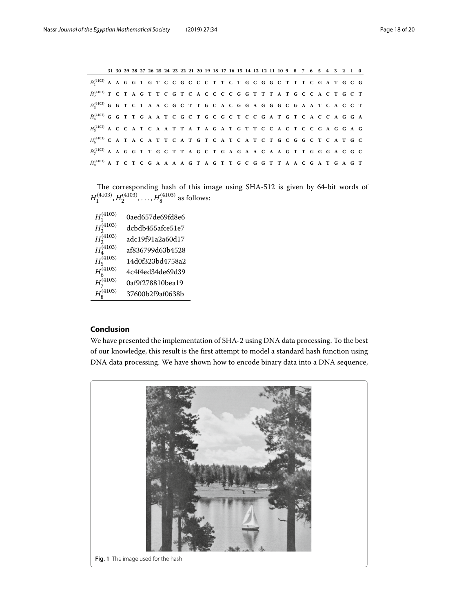|                                                                                          |  |  |  | 31 30 29 28 27 26 25 24 23 22 21 20 19 18 17 16 15 14 13 12 11 10 9 8 7 6 5 4 3 2 1 0 |  |  |  |  |  |  |  |  |  |  |  |  |  |
|------------------------------------------------------------------------------------------|--|--|--|---------------------------------------------------------------------------------------|--|--|--|--|--|--|--|--|--|--|--|--|--|
| $\tilde{H}_1^{(4103)}$ A A G G T G T C C G C C C T T C T G C G G C T T T C G A T G C G   |  |  |  |                                                                                       |  |  |  |  |  |  |  |  |  |  |  |  |  |
| $\tilde{H}_2^{(4103)}$ T C T A G T T C G T C A C C C C G G T T T A T G C C A C T G C T   |  |  |  |                                                                                       |  |  |  |  |  |  |  |  |  |  |  |  |  |
| $\tilde{H}^{(4103)}_3$ G G T C T A A C G C T T G C A C G G A G G G C G A A T C A C C T   |  |  |  |                                                                                       |  |  |  |  |  |  |  |  |  |  |  |  |  |
| $\tilde{H}^{(4103)}_a$ G G T T G A A T C G C T G C G C T C C G A T G T C A C C A G G A   |  |  |  |                                                                                       |  |  |  |  |  |  |  |  |  |  |  |  |  |
| $\tilde{H}_5^{(4103)}$ A C C A T C A A T T A T A G A T G T T C C A C T C C G A G G A G   |  |  |  |                                                                                       |  |  |  |  |  |  |  |  |  |  |  |  |  |
| $\tilde{H}^{(4103)}_{6}$ C A T A C A T T C A T G T C A T C A T C T G C G G C T C A T G C |  |  |  |                                                                                       |  |  |  |  |  |  |  |  |  |  |  |  |  |
| $\tilde{H}^{(4103)}_7$ A A G G T T G C T T A G C T G A G A A C A A G T T G G G A C G C   |  |  |  |                                                                                       |  |  |  |  |  |  |  |  |  |  |  |  |  |
| $\tilde{H}^{(4103)}_{8}$ A T C T C G A A A A G T A G T T G C G G T T A A C G A T G A G T |  |  |  |                                                                                       |  |  |  |  |  |  |  |  |  |  |  |  |  |

The corresponding hash of this image using SHA-512 is given by 64-bit words of  $H_1^{(4103)}, H_2^{(4103)}, \ldots, H_8^{(4103)}$  as follows:

| $H_1^{(4103)}$                   | 0aed657de69fd8e6 |
|----------------------------------|------------------|
| $H_2^{(4103)}$<br>$H_2^{(4103)}$ | dcbdb455afce51e7 |
|                                  | adc19f91a2a60d17 |
| $\tilde{H_4^{(4103)}}$           | af836799d63b4528 |
| $H_5^{(4103)}$<br>$H_6^{(4103)}$ | 14d0f323bd4758a2 |
|                                  | 4c4f4ed34de69d39 |
| $H_7^{(4103)}$                   | 0af9f278810bea19 |
| $H_8^{(4103)}$                   | 37600b2f9af0638b |

# <span id="page-17-0"></span>**Conclusion**

We have presented the implementation of SHA-2 using DNA data processing. To the best of our knowledge, this result is the first attempt to model a standard hash function using DNA data processing. We have shown how to encode binary data into a DNA sequence,

<span id="page-17-1"></span>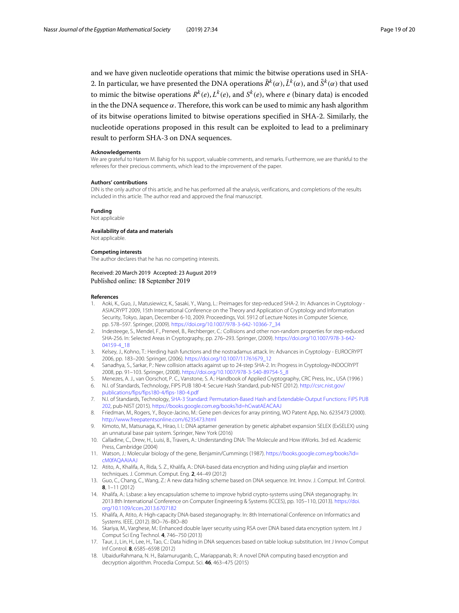and we have given nucleotide operations that mimic the bitwise operations used in SHA-2. In particular, we have presented the DNA operations  $\bar{R}^k(\alpha)$ ,  $\bar{L}^k(\alpha)$ , and  $\bar{S}^k(\alpha)$  that used to mimic the bitwise operations  $R^k(e)$ ,  $L^k(e)$ , and  $S^k(e)$ , where *e* (binary data) is encoded in the the DNA sequence  $\alpha$ . Therefore, this work can be used to mimic any hash algorithm of its bitwise operations limited to bitwise operations specified in SHA-2. Similarly, the nucleotide operations proposed in this result can be exploited to lead to a preliminary result to perform SHA-3 on DNA sequences.

#### **Acknowledgements**

We are grateful to Hatem M. Bahig for his support, valuable comments, and remarks. Furthermore, we are thankful to the referees for their precious comments, which lead to the improvement of the paper.

#### **Authors' contributions**

DIN is the only author of this article, and he has performed all the analysis, verifications, and completions of the results included in this article. The author read and approved the final manuscript.

**Funding**

Not applicable

**Availability of data and materials** Not applicable.

#### **Competing interests**

The author declares that he has no competing interests.

#### Received: 20 March 2019 Accepted: 23 August 2019 Published online: 18 September 2019

#### **References**

- <span id="page-18-0"></span>1. Aoki, K., Guo, J., Matusiewicz, K., Sasaki, Y., Wang, L.: Preimages for step-reduced SHA-2. In: Advances in Cryptology - ASIACRYPT 2009, 15th International Conference on the Theory and Application of Cryptology and Information Security, Tokyo, Japan, December 6-10, 2009. Proceedings, Vol. 5912 of Lecture Notes in Computer Science, pp. 578–597. Springer, (2009). [https://doi.org/10.1007/978-3-642-10366-7\\_34](https://doi.org/10.1007/978-3-642-10366-7_34)
- 2. Indesteege, S., Mendel, F., Preneel, B., Rechberger, C.: Collisions and other non-random properties for step-reduced SHA-256. In: Selected Areas in Cryptography, pp. 276–293. Springer, (2009). [https://doi.org/10.1007/978-3-642-](https://doi.org/10.1007/978-3-642-04159-4_18) [04159-4\\_18](https://doi.org/10.1007/978-3-642-04159-4_18)
- 3. Kelsey, J., Kohno, T.: Herding hash functions and the nostradamus attack. In: Advances in Cryptology EUROCRYPT 2006, pp. 183–200. Springer, (2006). [https://doi.org/10.1007/11761679\\_12](https://doi.org/10.1007/11761679_12)
- <span id="page-18-1"></span>4. Sanadhya, S., Sarkar, P.: New collision attacks against up to 24-step SHA-2. In: Progress in Cryptology-INDOCRYPT 2008, pp. 91–103. Springer, (2008). [https://doi.org/10.1007/978-3-540-89754-5\\_8](https://doi.org/10.1007/978-3-540-89754-5_8)
- <span id="page-18-2"></span>5. Menezes, A. J., van Oorschot, P. C., Vanstone, S. A.: Handbook of Applied Cryptography, CRC Press, Inc., USA (1996 ) 6. N.I. of Standards, Technology, FIPS PUB 180-4: Secure Hash Standard, pub-NIST (2012). [http://csrc.nist.gov/](http://csrc.nist.gov/publications/fips/fips180-4/fips-180-4.pdf)
- <span id="page-18-4"></span><span id="page-18-3"></span>[publications/fips/fips180-4/fips-180-4.pdf](http://csrc.nist.gov/publications/fips/fips180-4/fips-180-4.pdf) 7. N.I. of Standards, Technology, SHA-3 Standard: Permutation-Based Hash and Extendable-Output Functions: FiPS PUB 202, pub-NIST (2015). <https://books.google.com.eg/books?id=hCwatAEACAAJ>
- <span id="page-18-5"></span>8. Friedman, M., Rogers, Y., Boyce-Jacino, M.: Gene pen devices for array printing, WO Patent App, No. 6235473 (2000). <http://www.freepatentsonline.com/6235473.html>
- <span id="page-18-6"></span>9. Kimoto, M., Matsunaga, K., Hirao, I. I.: DNA aptamer generation by genetic alphabet expansion SELEX (ExSELEX) using an unnatural base pair system. Springer, New York (2016)
- <span id="page-18-7"></span>10. Calladine, C., Drew, H., Luisi, B., Travers, A.: Understanding DNA: The Molecule and How itWorks. 3rd ed. Academic Press, Cambridge (2004)
- <span id="page-18-8"></span>11. Watson, J.: Molecular biology of the gene, Benjamin/Cummings (1987). [https://books.google.com.eg/books?id=](https://books.google.com.eg/books?id=cM0fAQAAIAAJ) [cM0fAQAAIAAJ](https://books.google.com.eg/books?id=cM0fAQAAIAAJ)
- <span id="page-18-9"></span>12. Atito, A., Khalifa, A., Rida, S. Z., Khalifa, A.: DNA-based data encryption and hiding using playfair and insertion techniques. J. Commun. Comput. Eng. **2**, 44–49 (2012)
- 13. Guo, C., Chang, C., Wang, Z.: A new data hiding scheme based on DNA sequence. Int. Innov. J. Comput. Inf. Control. **8**, 1–11 (2012)
- 14. Khalifa, A.: Lsbase: a key encapsulation scheme to improve hybrid crypto-systems using DNA steganography. In: 2013 8th International Conference on Computer Engineering & Systems (ICCES), pp. 105–110, (2013). [https://doi.](https://doi.org/10.1109/icces.2013.6707182) [org/10.1109/icces.2013.6707182](https://doi.org/10.1109/icces.2013.6707182)
- 15. Khalifa, A, Atito, A: High-capacity DNA-based steganography. In: 8th International Conference on Informatics and Systems. IEEE, (2012). BIO–76–BIO–80
- 16. Skariya, M., Varghese, M.: Enhanced double layer security using RSA over DNA based data encryption system. Int J Comput Sci Eng Technol. **4**, 746–750 (2013)
- <span id="page-18-10"></span>17. Taur, J., Lin, H., Lee, H., Tao, C.: Data hiding in DNA sequences based on table lookup substitution. Int J Innov Comput Inf Control. **8**, 6585–6598 (2012)
- <span id="page-18-11"></span>18. UbaidurRahmana, N. H., Balamuruganb, C., Mariappanab, R.: A novel DNA computing based encryption and decryption algorithm. Procedia Comput. Sci. **46**, 463–475 (2015)